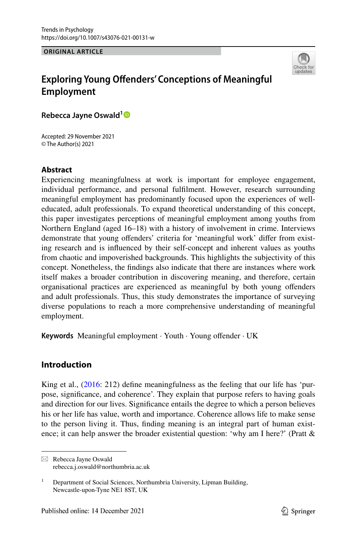**ORIGINAL ARTICLE**



# **Exploring Young Ofenders' Conceptions of Meaningful Employment**

**Rebecca Jayne Oswald[1](http://orcid.org/0000-0002-6253-4812)**

Accepted: 29 November 2021 © The Author(s) 2021

#### **Abstract**

Experiencing meaningfulness at work is important for employee engagement, individual performance, and personal fulflment. However, research surrounding meaningful employment has predominantly focused upon the experiences of welleducated, adult professionals. To expand theoretical understanding of this concept, this paper investigates perceptions of meaningful employment among youths from Northern England (aged 16–18) with a history of involvement in crime. Interviews demonstrate that young offenders' criteria for 'meaningful work' differ from existing research and is infuenced by their self-concept and inherent values as youths from chaotic and impoverished backgrounds. This highlights the subjectivity of this concept. Nonetheless, the fndings also indicate that there are instances where work itself makes a broader contribution in discovering meaning, and therefore, certain organisational practices are experienced as meaningful by both young ofenders and adult professionals. Thus, this study demonstrates the importance of surveying diverse populations to reach a more comprehensive understanding of meaningful employment.

**Keywords** Meaningful employment · Youth · Young ofender · UK

## **Introduction**

King et al., [\(2016](#page-22-0): 212) defne meaningfulness as the feeling that our life has 'purpose, signifcance, and coherence'. They explain that purpose refers to having goals and direction for our lives. Signifcance entails the degree to which a person believes his or her life has value, worth and importance. Coherence allows life to make sense to the person living it. Thus, fnding meaning is an integral part of human existence; it can help answer the broader existential question: 'why am I here?' (Pratt &

 $\boxtimes$  Rebecca Jayne Oswald rebecca.j.oswald@northumbria.ac.uk

<sup>&</sup>lt;sup>1</sup> Department of Social Sciences, Northumbria University, Lipman Building, Newcastle-upon-Tyne NE1 8ST, UK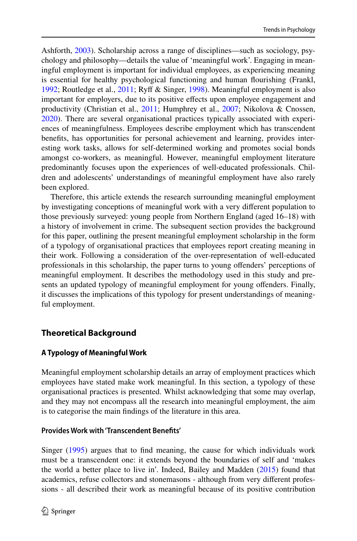Ashforth, [2003](#page-23-0)). Scholarship across a range of disciplines—such as sociology, psychology and philosophy—details the value of 'meaningful work'. Engaging in meaningful employment is important for individual employees, as experiencing meaning is essential for healthy psychological functioning and human fourishing (Frankl, [1992](#page-22-1); Routledge et al., [2011;](#page-23-1) Ryf & Singer, [1998](#page-23-2)). Meaningful employment is also important for employers, due to its positive efects upon employee engagement and productivity (Christian et al., [2011](#page-21-0); Humphrey et al., [2007;](#page-22-2) Nikolova & Cnossen, [2020](#page-23-3)). There are several organisational practices typically associated with experiences of meaningfulness. Employees describe employment which has transcendent benefts, has opportunities for personal achievement and learning, provides interesting work tasks, allows for self-determined working and promotes social bonds amongst co-workers, as meaningful. However, meaningful employment literature predominantly focuses upon the experiences of well-educated professionals. Children and adolescents' understandings of meaningful employment have also rarely been explored.

Therefore, this article extends the research surrounding meaningful employment by investigating conceptions of meaningful work with a very diferent population to those previously surveyed: young people from Northern England (aged 16–18) with a history of involvement in crime. The subsequent section provides the background for this paper, outlining the present meaningful employment scholarship in the form of a typology of organisational practices that employees report creating meaning in their work. Following a consideration of the over-representation of well-educated professionals in this scholarship, the paper turns to young ofenders' perceptions of meaningful employment. It describes the methodology used in this study and presents an updated typology of meaningful employment for young ofenders. Finally, it discusses the implications of this typology for present understandings of meaningful employment.

## **Theoretical Background**

## **A Typology of Meaningful Work**

Meaningful employment scholarship details an array of employment practices which employees have stated make work meaningful. In this section, a typology of these organisational practices is presented. Whilst acknowledging that some may overlap, and they may not encompass all the research into meaningful employment, the aim is to categorise the main fndings of the literature in this area.

## **Provides Work with 'Transcendent Benefts'**

Singer [\(1995](#page-23-4)) argues that to fnd meaning, the cause for which individuals work must be a transcendent one: it extends beyond the boundaries of self and 'makes the world a better place to live in'. Indeed, Bailey and Madden ([2015\)](#page-21-1) found that academics, refuse collectors and stonemasons - although from very diferent professions - all described their work as meaningful because of its positive contribution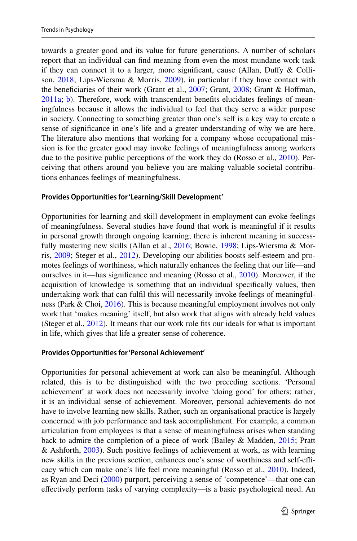towards a greater good and its value for future generations. A number of scholars report that an individual can fnd meaning from even the most mundane work task if they can connect it to a larger, more signifcant, cause (Allan, Dufy & Collison, [2018](#page-21-2); Lips-Wiersma & Morris, [2009\)](#page-22-3), in particular if they have contact with the beneficiaries of their work (Grant et al., [2007;](#page-22-4) Grant, [2008](#page-22-5); Grant & Hoffman, [2011a](#page-22-6); [b\)](#page-22-7). Therefore, work with transcendent benefts elucidates feelings of meaningfulness because it allows the individual to feel that they serve a wider purpose in society. Connecting to something greater than one's self is a key way to create a sense of signifcance in one's life and a greater understanding of why we are here. The literature also mentions that working for a company whose occupational mission is for the greater good may invoke feelings of meaningfulness among workers due to the positive public perceptions of the work they do (Rosso et al., [2010](#page-23-5)). Perceiving that others around you believe you are making valuable societal contributions enhances feelings of meaningfulness.

#### **Provides Opportunities for 'Learning/Skill Development'**

Opportunities for learning and skill development in employment can evoke feelings of meaningfulness. Several studies have found that work is meaningful if it results in personal growth through ongoing learning; there is inherent meaning in success-fully mastering new skills (Allan et al., [2016;](#page-21-3) Bowie, [1998](#page-21-4); Lips-Wiersma & Morris, [2009;](#page-22-3) Steger et al., [2012](#page-23-6)). Developing our abilities boosts self-esteem and promotes feelings of worthiness, which naturally enhances the feeling that our life—and ourselves in it—has signifcance and meaning (Rosso et al., [2010](#page-23-5)). Moreover, if the acquisition of knowledge is something that an individual specifcally values, then undertaking work that can fulfl this will necessarily invoke feelings of meaningfulness (Park & Choi, [2016](#page-23-7)). This is because meaningful employment involves not only work that 'makes meaning' itself, but also work that aligns with already held values (Steger et al., [2012\)](#page-23-6). It means that our work role fts our ideals for what is important in life, which gives that life a greater sense of coherence.

#### **Provides Opportunities for 'Personal Achievement'**

Opportunities for personal achievement at work can also be meaningful. Although related, this is to be distinguished with the two preceding sections. 'Personal achievement' at work does not necessarily involve 'doing good' for others; rather, it is an individual sense of achievement. Moreover, personal achievements do not have to involve learning new skills. Rather, such an organisational practice is largely concerned with job performance and task accomplishment. For example, a common articulation from employees is that a sense of meaningfulness arises when standing back to admire the completion of a piece of work (Bailey & Madden, [2015](#page-21-1); Pratt & Ashforth, [2003\)](#page-23-0). Such positive feelings of achievement at work, as with learning new skills in the previous section, enhances one's sense of worthiness and self-efficacy which can make one's life feel more meaningful (Rosso et al., [2010\)](#page-23-5). Indeed, as Ryan and Deci [\(2000](#page-23-8)) purport, perceiving a sense of 'competence'—that one can efectively perform tasks of varying complexity—is a basic psychological need. An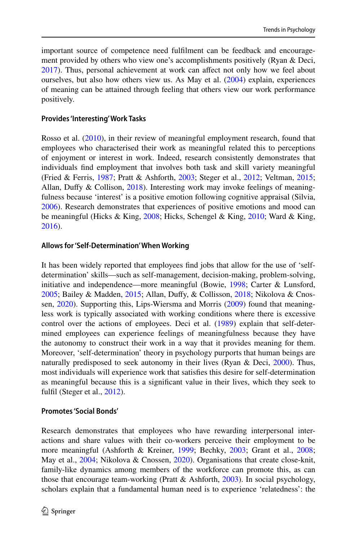important source of competence need fulflment can be feedback and encouragement provided by others who view one's accomplishments positively (Ryan & Deci, [2017](#page-23-9)). Thus, personal achievement at work can affect not only how we feel about ourselves, but also how others view us. As May et al. [\(2004](#page-23-10)) explain, experiences of meaning can be attained through feeling that others view our work performance positively.

## **Provides 'Interesting' Work Tasks**

Rosso et al. ([2010\)](#page-23-5), in their review of meaningful employment research, found that employees who characterised their work as meaningful related this to perceptions of enjoyment or interest in work. Indeed, research consistently demonstrates that individuals fnd employment that involves both task and skill variety meaningful (Fried & Ferris, [1987](#page-22-8); Pratt & Ashforth, [2003;](#page-23-0) Steger et al., [2012](#page-23-6); Veltman, [2015;](#page-24-0) Allan, Duffy & Collison, [2018](#page-21-2)). Interesting work may invoke feelings of meaningfulness because 'interest' is a positive emotion following cognitive appraisal (Silvia, [2006](#page-23-11)). Research demonstrates that experiences of positive emotions and mood can be meaningful (Hicks & King, [2008;](#page-22-9) Hicks, Schengel & King, [2010](#page-22-10); Ward & King, [2016](#page-24-1)).

### **Allows for 'Self‑Determination' When Working**

It has been widely reported that employees fnd jobs that allow for the use of 'selfdetermination' skills—such as self-management, decision-making, problem-solving, initiative and independence—more meaningful (Bowie, [1998](#page-21-4); Carter & Lunsford, [2005](#page-21-5); Bailey & Madden, [2015;](#page-21-1) Allan, Dufy, & Collisson, [2018;](#page-21-2) Nikolova & Cnossen, [2020](#page-23-3)). Supporting this, Lips-Wiersma and Morris [\(2009](#page-22-3)) found that meaningless work is typically associated with working conditions where there is excessive control over the actions of employees. Deci et al. [\(1989](#page-21-6)) explain that self-determined employees can experience feelings of meaningfulness because they have the autonomy to construct their work in a way that it provides meaning for them. Moreover, 'self-determination' theory in psychology purports that human beings are naturally predisposed to seek autonomy in their lives (Ryan & Deci,  $2000$ ). Thus, most individuals will experience work that satisfes this desire for self-determination as meaningful because this is a signifcant value in their lives, which they seek to fulfil (Steger et al., [2012](#page-23-6)).

## **Promotes 'Social Bonds'**

Research demonstrates that employees who have rewarding interpersonal interactions and share values with their co-workers perceive their employment to be more meaningful (Ashforth & Kreiner, [1999;](#page-21-7) Bechky, [2003;](#page-21-8) Grant et al., [2008;](#page-22-11) May et al., [2004;](#page-23-10) Nikolova & Cnossen, [2020\)](#page-23-3). Organisations that create close-knit, family-like dynamics among members of the workforce can promote this, as can those that encourage team-working (Pratt & Ashforth, [2003\)](#page-23-0). In social psychology, scholars explain that a fundamental human need is to experience 'relatedness': the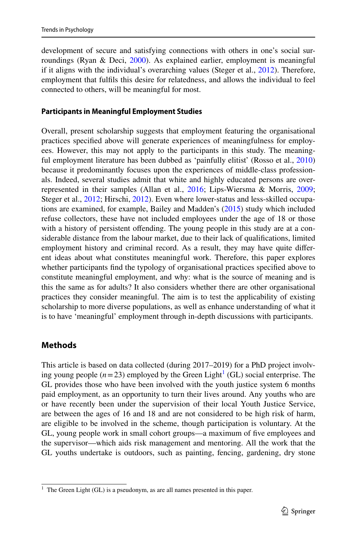development of secure and satisfying connections with others in one's social surroundings (Ryan & Deci, [2000\)](#page-23-8). As explained earlier, employment is meaningful if it aligns with the individual's overarching values (Steger et al., [2012\)](#page-23-6). Therefore, employment that fulfls this desire for relatedness, and allows the individual to feel connected to others, will be meaningful for most.

#### **Participants in Meaningful Employment Studies**

Overall, present scholarship suggests that employment featuring the organisational practices specifed above will generate experiences of meaningfulness for employees. However, this may not apply to the participants in this study. The meaningful employment literature has been dubbed as 'painfully elitist' (Rosso et al., [2010\)](#page-23-5) because it predominantly focuses upon the experiences of middle-class professionals. Indeed, several studies admit that white and highly educated persons are overrepresented in their samples (Allan et al., [2016;](#page-21-3) Lips-Wiersma & Morris, [2009;](#page-22-3) Steger et al., [2012](#page-23-6); Hirschi, [2012](#page-22-12)). Even where lower-status and less-skilled occupations are examined, for example, Bailey and Madden's [\(2015](#page-21-1)) study which included refuse collectors, these have not included employees under the age of 18 or those with a history of persistent offending. The young people in this study are at a considerable distance from the labour market, due to their lack of qualifcations, limited employment history and criminal record. As a result, they may have quite diferent ideas about what constitutes meaningful work. Therefore, this paper explores whether participants fnd the typology of organisational practices specifed above to constitute meaningful employment, and why: what is the source of meaning and is this the same as for adults? It also considers whether there are other organisational practices they consider meaningful. The aim is to test the applicability of existing scholarship to more diverse populations, as well as enhance understanding of what it is to have 'meaningful' employment through in-depth discussions with participants.

## **Methods**

This article is based on data collected (during 2017–2019) for a PhD project involving young people  $(n=23)$  employed by the Green Light<sup>[1](#page-4-0)</sup> (GL) social enterprise. The GL provides those who have been involved with the youth justice system 6 months paid employment, as an opportunity to turn their lives around. Any youths who are or have recently been under the supervision of their local Youth Justice Service, are between the ages of 16 and 18 and are not considered to be high risk of harm, are eligible to be involved in the scheme, though participation is voluntary. At the GL, young people work in small cohort groups—a maximum of fve employees and the supervisor—which aids risk management and mentoring. All the work that the GL youths undertake is outdoors, such as painting, fencing, gardening, dry stone

<span id="page-4-0"></span><sup>&</sup>lt;sup>1</sup> The Green Light (GL) is a pseudonym, as are all names presented in this paper.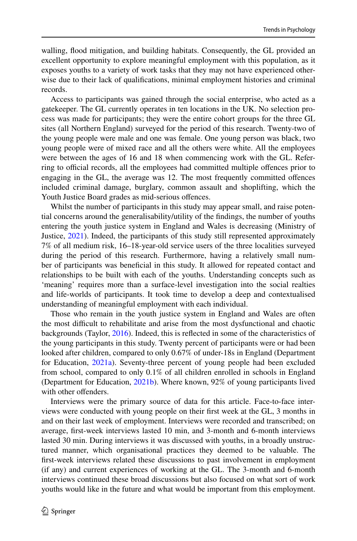walling, food mitigation, and building habitats. Consequently, the GL provided an excellent opportunity to explore meaningful employment with this population, as it exposes youths to a variety of work tasks that they may not have experienced otherwise due to their lack of qualifcations, minimal employment histories and criminal records.

Access to participants was gained through the social enterprise, who acted as a gatekeeper. The GL currently operates in ten locations in the UK. No selection process was made for participants; they were the entire cohort groups for the three GL sites (all Northern England) surveyed for the period of this research. Twenty-two of the young people were male and one was female. One young person was black, two young people were of mixed race and all the others were white. All the employees were between the ages of 16 and 18 when commencing work with the GL. Referring to official records, all the employees had committed multiple offences prior to engaging in the GL, the average was 12. The most frequently committed ofences included criminal damage, burglary, common assault and shoplifting, which the Youth Justice Board grades as mid-serious ofences.

Whilst the number of participants in this study may appear small, and raise potential concerns around the generalisability/utility of the fndings, the number of youths entering the youth justice system in England and Wales is decreasing (Ministry of Justice, [2021\)](#page-23-12). Indeed, the participants of this study still represented approximately 7% of all medium risk, 16–18-year-old service users of the three localities surveyed during the period of this research. Furthermore, having a relatively small number of participants was benefcial in this study. It allowed for repeated contact and relationships to be built with each of the youths. Understanding concepts such as 'meaning' requires more than a surface-level investigation into the social realties and life-worlds of participants. It took time to develop a deep and contextualised understanding of meaningful employment with each individual.

Those who remain in the youth justice system in England and Wales are often the most difcult to rehabilitate and arise from the most dysfunctional and chaotic backgrounds (Taylor, [2016](#page-24-2)). Indeed, this is refected in some of the characteristics of the young participants in this study. Twenty percent of participants were or had been looked after children, compared to only 0.67% of under-18s in England (Department for Education, [2021a\)](#page-21-9). Seventy-three percent of young people had been excluded from school, compared to only 0.1% of all children enrolled in schools in England (Department for Education, [2021b\)](#page-21-10). Where known, 92% of young participants lived with other offenders.

Interviews were the primary source of data for this article. Face-to-face interviews were conducted with young people on their frst week at the GL, 3 months in and on their last week of employment. Interviews were recorded and transcribed; on average, frst-week interviews lasted 10 min, and 3-month and 6-month interviews lasted 30 min. During interviews it was discussed with youths, in a broadly unstructured manner, which organisational practices they deemed to be valuable. The frst-week interviews related these discussions to past involvement in employment (if any) and current experiences of working at the GL. The 3-month and 6-month interviews continued these broad discussions but also focused on what sort of work youths would like in the future and what would be important from this employment.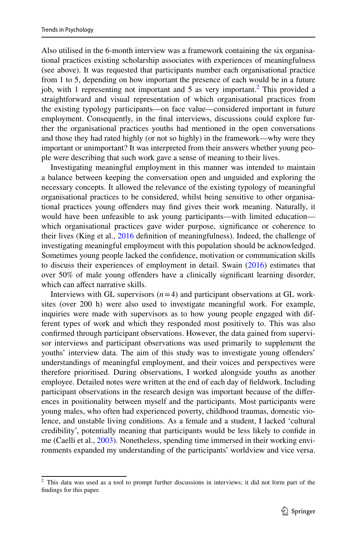Also utilised in the 6-month interview was a framework containing the six organisational practices existing scholarship associates with experiences of meaningfulness (see above). It was requested that participants number each organisational practice from 1 to 5, depending on how important the presence of each would be in a future job, with 1 representing not important and 5 as very important.[2](#page-6-0) This provided a straightforward and visual representation of which organisational practices from the existing typology participants—on face value—considered important in future employment. Consequently, in the fnal interviews, discussions could explore further the organisational practices youths had mentioned in the open conversations and those they had rated highly (or not so highly) in the framework—why were they important or unimportant? It was interpreted from their answers whether young people were describing that such work gave a sense of meaning to their lives.

Investigating meaningful employment in this manner was intended to maintain a balance between keeping the conversation open and unguided and exploring the necessary concepts. It allowed the relevance of the existing typology of meaningful organisational practices to be considered, whilst being sensitive to other organisational practices young ofenders may fnd gives their work meaning. Naturally, it would have been unfeasible to ask young participants—with limited education which organisational practices gave wider purpose, signifcance or coherence to their lives (King et al., [2016](#page-22-0) defnition of meaningfulness). Indeed, the challenge of investigating meaningful employment with this population should be acknowledged. Sometimes young people lacked the confdence, motivation or communication skills to discuss their experiences of employment in detail. Swain  $(2016)$  $(2016)$  estimates that over 50% of male young ofenders have a clinically signifcant learning disorder, which can affect narrative skills.

Interviews with GL supervisors  $(n=4)$  and participant observations at GL worksites (over 200 h) were also used to investigate meaningful work. For example, inquiries were made with supervisors as to how young people engaged with different types of work and which they responded most positively to. This was also confrmed through participant observations. However, the data gained from supervisor interviews and participant observations was used primarily to supplement the youths' interview data. The aim of this study was to investigate young ofenders' understandings of meaningful employment, and their voices and perspectives were therefore prioritised. During observations, I worked alongside youths as another employee. Detailed notes were written at the end of each day of feldwork. Including participant observations in the research design was important because of the diferences in positionality between myself and the participants. Most participants were young males, who often had experienced poverty, childhood traumas, domestic violence, and unstable living conditions. As a female and a student, I lacked 'cultural credibility', potentially meaning that participants would be less likely to confde in me (Caelli et al., [2003](#page-21-11)). Nonetheless, spending time immersed in their working environments expanded my understanding of the participants' worldview and vice versa.

<span id="page-6-0"></span> $2$  This data was used as a tool to prompt further discussions in interviews; it did not form part of the fndings for this paper.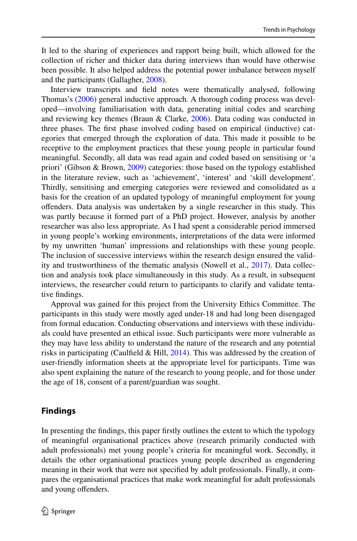It led to the sharing of experiences and rapport being built, which allowed for the collection of richer and thicker data during interviews than would have otherwise been possible. It also helped address the potential power imbalance between myself and the participants (Gallagher, [2008\)](#page-22-13).

Interview transcripts and feld notes were thematically analysed, following Thomas's ([2006\)](#page-24-3) general inductive approach. A thorough coding process was developed—involving familiarisation with data, generating initial codes and searching and reviewing key themes (Braun & Clarke, [2006](#page-21-12)). Data coding was conducted in three phases. The frst phase involved coding based on empirical (inductive) categories that emerged through the exploration of data. This made it possible to be receptive to the employment practices that these young people in particular found meaningful. Secondly, all data was read again and coded based on sensitising or 'a priori' (Gibson & Brown, [2009\)](#page-22-14) categories: those based on the typology established in the literature review, such as 'achievement', 'interest' and 'skill development'. Thirdly, sensitising and emerging categories were reviewed and consolidated as a basis for the creation of an updated typology of meaningful employment for young ofenders. Data analysis was undertaken by a single researcher in this study. This was partly because it formed part of a PhD project. However, analysis by another researcher was also less appropriate. As I had spent a considerable period immersed in young people's working environments, interpretations of the data were informed by my unwritten 'human' impressions and relationships with these young people. The inclusion of successive interviews within the research design ensured the validity and trustworthiness of the thematic analysis (Nowell et al., [2017\)](#page-23-14). Data collection and analysis took place simultaneously in this study. As a result, in subsequent interviews, the researcher could return to participants to clarify and validate tentative fndings.

Approval was gained for this project from the University Ethics Committee. The participants in this study were mostly aged under-18 and had long been disengaged from formal education. Conducting observations and interviews with these individuals could have presented an ethical issue. Such participants were more vulnerable as they may have less ability to understand the nature of the research and any potential risks in participating (Caulfield & Hill, [2014\)](#page-21-13). This was addressed by the creation of user-friendly information sheets at the appropriate level for participants. Time was also spent explaining the nature of the research to young people, and for those under the age of 18, consent of a parent/guardian was sought.

## **Findings**

In presenting the fndings, this paper frstly outlines the extent to which the typology of meaningful organisational practices above (research primarily conducted with adult professionals) met young people's criteria for meaningful work. Secondly, it details the other organisational practices young people described as engendering meaning in their work that were not specifed by adult professionals. Finally, it compares the organisational practices that make work meaningful for adult professionals and young ofenders.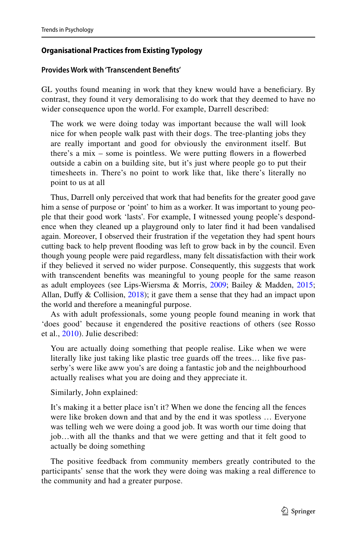## **Organisational Practices from Existing Typology**

## **Provides Work with 'Transcendent Benefts'**

GL youths found meaning in work that they knew would have a benefciary. By contrast, they found it very demoralising to do work that they deemed to have no wider consequence upon the world. For example, Darrell described:

The work we were doing today was important because the wall will look nice for when people walk past with their dogs. The tree-planting jobs they are really important and good for obviously the environment itself. But there's a mix – some is pointless. We were putting flowers in a flowerbed outside a cabin on a building site, but it's just where people go to put their timesheets in. There's no point to work like that, like there's literally no point to us at all

Thus, Darrell only perceived that work that had benefts for the greater good gave him a sense of purpose or 'point' to him as a worker. It was important to young people that their good work 'lasts'. For example, I witnessed young people's despondence when they cleaned up a playground only to later fnd it had been vandalised again. Moreover, I observed their frustration if the vegetation they had spent hours cutting back to help prevent fooding was left to grow back in by the council. Even though young people were paid regardless, many felt dissatisfaction with their work if they believed it served no wider purpose. Consequently, this suggests that work with transcendent benefts was meaningful to young people for the same reason as adult employees (see Lips-Wiersma & Morris, [2009;](#page-22-3) Bailey & Madden, [2015;](#page-21-1) Allan, Duffy  $&$  Collision, [2018](#page-21-2)); it gave them a sense that they had an impact upon the world and therefore a meaningful purpose.

As with adult professionals, some young people found meaning in work that 'does good' because it engendered the positive reactions of others (see Rosso et al., [2010](#page-23-5)). Julie described:

You are actually doing something that people realise. Like when we were literally like just taking like plastic tree guards off the trees... like five passerby's were like aww you's are doing a fantastic job and the neighbourhood actually realises what you are doing and they appreciate it.

Similarly, John explained:

It's making it a better place isn't it? When we done the fencing all the fences were like broken down and that and by the end it was spotless … Everyone was telling weh we were doing a good job. It was worth our time doing that job…with all the thanks and that we were getting and that it felt good to actually be doing something

The positive feedback from community members greatly contributed to the participants' sense that the work they were doing was making a real diference to the community and had a greater purpose.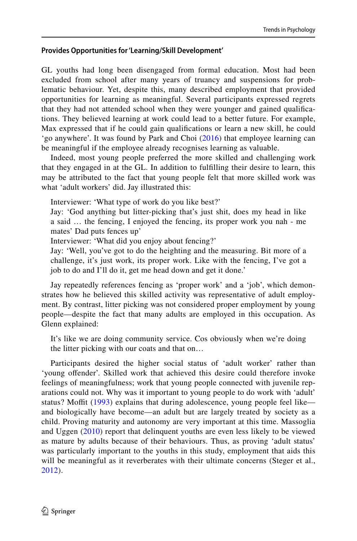## **Provides Opportunities for 'Learning/Skill Development'**

GL youths had long been disengaged from formal education. Most had been excluded from school after many years of truancy and suspensions for problematic behaviour. Yet, despite this, many described employment that provided opportunities for learning as meaningful. Several participants expressed regrets that they had not attended school when they were younger and gained qualifcations. They believed learning at work could lead to a better future. For example, Max expressed that if he could gain qualifcations or learn a new skill, he could 'go anywhere'. It was found by Park and Choi ([2016\)](#page-23-7) that employee learning can be meaningful if the employee already recognises learning as valuable.

Indeed, most young people preferred the more skilled and challenging work that they engaged in at the GL. In addition to fulflling their desire to learn, this may be attributed to the fact that young people felt that more skilled work was what 'adult workers' did. Jay illustrated this:

Interviewer: 'What type of work do you like best?'

Jay: 'God anything but litter-picking that's just shit, does my head in like a said … the fencing, I enjoyed the fencing, its proper work you nah - me mates' Dad puts fences up'

Interviewer: 'What did you enjoy about fencing?'

Jay: 'Well, you've got to do the heighting and the measuring. Bit more of a challenge, it's just work, its proper work. Like with the fencing, I've got a job to do and I'll do it, get me head down and get it done.'

Jay repeatedly references fencing as 'proper work' and a 'job', which demonstrates how he believed this skilled activity was representative of adult employment. By contrast, litter picking was not considered proper employment by young people—despite the fact that many adults are employed in this occupation. As Glenn explained:

It's like we are doing community service. Cos obviously when we're doing the litter picking with our coats and that on…

Participants desired the higher social status of 'adult worker' rather than 'young ofender'. Skilled work that achieved this desire could therefore invoke feelings of meaningfulness; work that young people connected with juvenile reparations could not. Why was it important to young people to do work with 'adult' status? Moffit ([1993](#page-23-15)) explains that during adolescence, young people feel like and biologically have become—an adult but are largely treated by society as a child. Proving maturity and autonomy are very important at this time. Massoglia and Uggen ([2010](#page-23-16)) report that delinquent youths are even less likely to be viewed as mature by adults because of their behaviours. Thus, as proving 'adult status' was particularly important to the youths in this study, employment that aids this will be meaningful as it reverberates with their ultimate concerns (Steger et al., [2012\)](#page-23-6).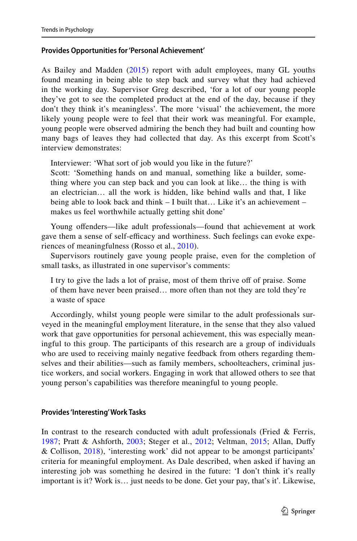#### **Provides Opportunities for 'Personal Achievement'**

As Bailey and Madden ([2015\)](#page-21-1) report with adult employees, many GL youths found meaning in being able to step back and survey what they had achieved in the working day. Supervisor Greg described, 'for a lot of our young people they've got to see the completed product at the end of the day, because if they don't they think it's meaningless'. The more 'visual' the achievement, the more likely young people were to feel that their work was meaningful. For example, young people were observed admiring the bench they had built and counting how many bags of leaves they had collected that day. As this excerpt from Scott's interview demonstrates:

Interviewer: 'What sort of job would you like in the future?'

Scott: 'Something hands on and manual, something like a builder, something where you can step back and you can look at like… the thing is with an electrician… all the work is hidden, like behind walls and that, I like being able to look back and think – I built that… Like it's an achievement – makes us feel worthwhile actually getting shit done'

Young offenders—like adult professionals—found that achievement at work gave them a sense of self-efficacy and worthiness. Such feelings can evoke experiences of meaningfulness (Rosso et al., [2010\)](#page-23-5).

Supervisors routinely gave young people praise, even for the completion of small tasks, as illustrated in one supervisor's comments:

I try to give the lads a lot of praise, most of them thrive off of praise. Some of them have never been praised… more often than not they are told they're a waste of space

Accordingly, whilst young people were similar to the adult professionals surveyed in the meaningful employment literature, in the sense that they also valued work that gave opportunities for personal achievement, this was especially meaningful to this group. The participants of this research are a group of individuals who are used to receiving mainly negative feedback from others regarding themselves and their abilities—such as family members, schoolteachers, criminal justice workers, and social workers. Engaging in work that allowed others to see that young person's capabilities was therefore meaningful to young people.

#### **Provides 'Interesting' Work Tasks**

In contrast to the research conducted with adult professionals (Fried & Ferris, [1987;](#page-22-8) Pratt & Ashforth, [2003](#page-23-0); Steger et al., [2012;](#page-23-6) Veltman, [2015;](#page-24-0) Allan, Dufy & Collison, [2018\)](#page-21-2), 'interesting work' did not appear to be amongst participants' criteria for meaningful employment. As Dale described, when asked if having an interesting job was something he desired in the future: 'I don't think it's really important is it? Work is… just needs to be done. Get your pay, that's it'. Likewise,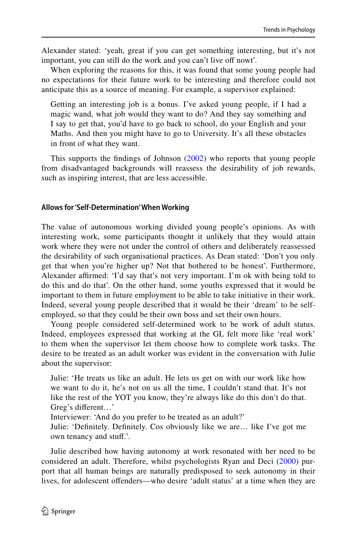Alexander stated: 'yeah, great if you can get something interesting, but it's not important, you can still do the work and you can't live off nowt'.

When exploring the reasons for this, it was found that some young people had no expectations for their future work to be interesting and therefore could not anticipate this as a source of meaning. For example, a supervisor explained:

Getting an interesting job is a bonus. I've asked young people, if I had a magic wand, what job would they want to do? And they say something and I say to get that, you'd have to go back to school, do your English and your Maths. And then you might have to go to University. It's all these obstacles in front of what they want.

This supports the fndings of Johnson [\(2002\)](#page-22-15) who reports that young people from disadvantaged backgrounds will reassess the desirability of job rewards, such as inspiring interest, that are less accessible.

#### **Allows for 'Self‑Determination' When Working**

The value of autonomous working divided young people's opinions. As with interesting work, some participants thought it unlikely that they would attain work where they were not under the control of others and deliberately reassessed the desirability of such organisational practices. As Dean stated: 'Don't you only get that when you're higher up? Not that bothered to be honest'. Furthermore, Alexander affirmed: 'I'd say that's not very important. I'm ok with being told to do this and do that'. On the other hand, some youths expressed that it would be important to them in future employment to be able to take initiative in their work. Indeed, several young people described that it would be their 'dream' to be selfemployed, so that they could be their own boss and set their own hours.

Young people considered self-determined work to be work of adult status. Indeed, employees expressed that working at the GL felt more like 'real work' to them when the supervisor let them choose how to complete work tasks. The desire to be treated as an adult worker was evident in the conversation with Julie about the supervisor:

Julie: 'He treats us like an adult. He lets us get on with our work like how we want to do it, he's not on us all the time, I couldn't stand that. It's not like the rest of the YOT you know, they're always like do this don't do that. Greg's diferent…'

Interviewer: 'And do you prefer to be treated as an adult?'

Julie: 'Defnitely. Defnitely. Cos obviously like we are… like I've got me own tenancy and stuf.'.

Julie described how having autonomy at work resonated with her need to be considered an adult. Therefore, whilst psychologists Ryan and Deci ([2000\)](#page-23-8) purport that all human beings are naturally predisposed to seek autonomy in their lives, for adolescent offenders—who desire 'adult status' at a time when they are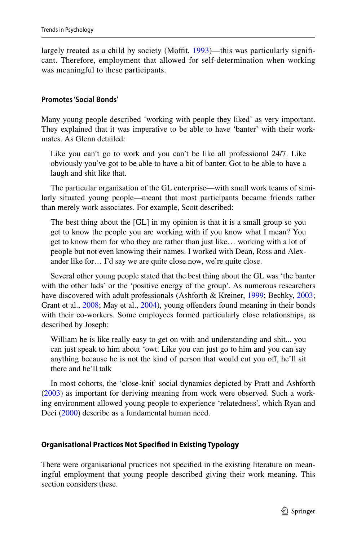largely treated as a child by society (Moffit, [1993\)](#page-23-15)—this was particularly significant. Therefore, employment that allowed for self-determination when working was meaningful to these participants.

#### **Promotes 'Social Bonds'**

Many young people described 'working with people they liked' as very important. They explained that it was imperative to be able to have 'banter' with their workmates. As Glenn detailed:

Like you can't go to work and you can't be like all professional 24/7. Like obviously you've got to be able to have a bit of banter. Got to be able to have a laugh and shit like that.

The particular organisation of the GL enterprise—with small work teams of similarly situated young people—meant that most participants became friends rather than merely work associates. For example, Scott described:

The best thing about the [GL] in my opinion is that it is a small group so you get to know the people you are working with if you know what I mean? You get to know them for who they are rather than just like… working with a lot of people but not even knowing their names. I worked with Dean, Ross and Alexander like for… I'd say we are quite close now, we're quite close.

Several other young people stated that the best thing about the GL was 'the banter with the other lads' or the 'positive energy of the group'. As numerous researchers have discovered with adult professionals (Ashforth & Kreiner, [1999;](#page-21-7) Bechky, [2003;](#page-21-8) Grant et al., [2008;](#page-22-11) May et al., [2004](#page-23-10)), young offenders found meaning in their bonds with their co-workers. Some employees formed particularly close relationships, as described by Joseph:

William he is like really easy to get on with and understanding and shit... you can just speak to him about 'owt. Like you can just go to him and you can say anything because he is not the kind of person that would cut you off, he'll sit there and he'll talk

In most cohorts, the 'close-knit' social dynamics depicted by Pratt and Ashforth [\(2003](#page-23-0)) as important for deriving meaning from work were observed. Such a working environment allowed young people to experience 'relatedness', which Ryan and Deci ([2000\)](#page-23-8) describe as a fundamental human need.

#### **Organisational Practices Not Specifed in Existing Typology**

There were organisational practices not specifed in the existing literature on meaningful employment that young people described giving their work meaning. This section considers these.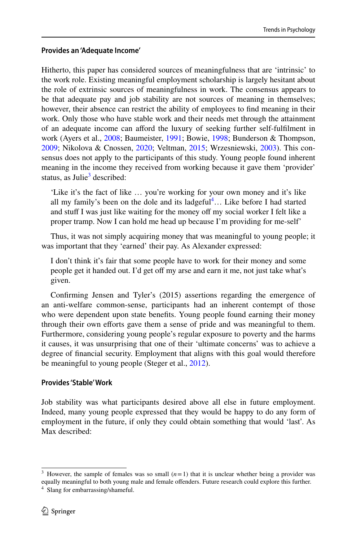## **Provides an 'Adequate Income'**

Hitherto, this paper has considered sources of meaningfulness that are 'intrinsic' to the work role. Existing meaningful employment scholarship is largely hesitant about the role of extrinsic sources of meaningfulness in work. The consensus appears to be that adequate pay and job stability are not sources of meaning in themselves; however, their absence can restrict the ability of employees to fnd meaning in their work. Only those who have stable work and their needs met through the attainment of an adequate income can aford the luxury of seeking further self-fulflment in work (Ayers et al., [2008](#page-21-14); Baumeister, [1991](#page-21-15); Bowie, [1998;](#page-21-4) Bunderson & Thompson, [2009](#page-21-16); Nikolova & Cnossen, [2020](#page-23-3); Veltman, [2015;](#page-24-0) Wrzesniewski, [2003\)](#page-24-4). This consensus does not apply to the participants of this study. Young people found inherent meaning in the income they received from working because it gave them 'provider' status, as Julie<sup>3</sup> described:

'Like it's the fact of like … you're working for your own money and it's like all my family's been on the dole and its ladgeful $\textsuperscript{4}{\ldots}$  Like before I had started and stuff I was just like waiting for the money off my social worker I felt like a proper tramp. Now I can hold me head up because I'm providing for me-self'

Thus, it was not simply acquiring money that was meaningful to young people; it was important that they 'earned' their pay. As Alexander expressed:

I don't think it's fair that some people have to work for their money and some people get it handed out. I'd get off my arse and earn it me, not just take what's given.

Confrming Jensen and Tyler's (2015) assertions regarding the emergence of an anti-welfare common-sense, participants had an inherent contempt of those who were dependent upon state benefts. Young people found earning their money through their own efforts gave them a sense of pride and was meaningful to them. Furthermore, considering young people's regular exposure to poverty and the harms it causes, it was unsurprising that one of their 'ultimate concerns' was to achieve a degree of fnancial security. Employment that aligns with this goal would therefore be meaningful to young people (Steger et al., [2012](#page-23-6)).

#### **Provides 'Stable' Work**

Job stability was what participants desired above all else in future employment. Indeed, many young people expressed that they would be happy to do any form of employment in the future, if only they could obtain something that would 'last'. As Max described:

<span id="page-13-0"></span><sup>&</sup>lt;sup>3</sup> However, the sample of females was so small  $(n=1)$  that it is unclear whether being a provider was equally meaningful to both young male and female ofenders. Future research could explore this further.

<span id="page-13-1"></span><sup>4</sup> Slang for embarrassing/shameful.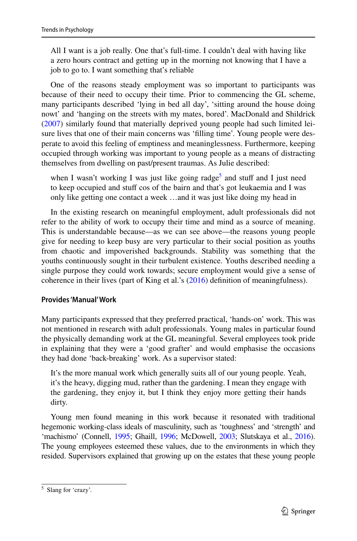All I want is a job really. One that's full-time. I couldn't deal with having like a zero hours contract and getting up in the morning not knowing that I have a job to go to. I want something that's reliable

One of the reasons steady employment was so important to participants was because of their need to occupy their time. Prior to commencing the GL scheme, many participants described 'lying in bed all day', 'sitting around the house doing nowt' and 'hanging on the streets with my mates, bored'. MacDonald and Shildrick [\(2007](#page-22-16)) similarly found that materially deprived young people had such limited leisure lives that one of their main concerns was 'flling time'. Young people were desperate to avoid this feeling of emptiness and meaninglessness. Furthermore, keeping occupied through working was important to young people as a means of distracting themselves from dwelling on past/present traumas. As Julie described:

when I wasn't working I was just like going radge<sup>[5](#page-14-0)</sup> and stuff and I just need to keep occupied and stuff cos of the bairn and that's got leukaemia and I was only like getting one contact a week …and it was just like doing my head in

In the existing research on meaningful employment, adult professionals did not refer to the ability of work to occupy their time and mind as a source of meaning. This is understandable because—as we can see above—the reasons young people give for needing to keep busy are very particular to their social position as youths from chaotic and impoverished backgrounds. Stability was something that the youths continuously sought in their turbulent existence. Youths described needing a single purpose they could work towards; secure employment would give a sense of coherence in their lives (part of King et al.'s ([2016\)](#page-22-0) defnition of meaningfulness).

#### **Provides 'Manual' Work**

Many participants expressed that they preferred practical, 'hands-on' work. This was not mentioned in research with adult professionals. Young males in particular found the physically demanding work at the GL meaningful. Several employees took pride in explaining that they were a 'good grafter' and would emphasise the occasions they had done 'back-breaking' work. As a supervisor stated:

It's the more manual work which generally suits all of our young people. Yeah, it's the heavy, digging mud, rather than the gardening. I mean they engage with the gardening, they enjoy it, but I think they enjoy more getting their hands dirty.

Young men found meaning in this work because it resonated with traditional hegemonic working-class ideals of masculinity, such as 'toughness' and 'strength' and 'machismo' (Connell, [1995](#page-21-17); Ghaill, [1996](#page-22-17); McDowell, [2003;](#page-23-17) Slutskaya et al., [2016\)](#page-23-18). The young employees esteemed these values, due to the environments in which they resided. Supervisors explained that growing up on the estates that these young people

<span id="page-14-0"></span><sup>5</sup> Slang for 'crazy'.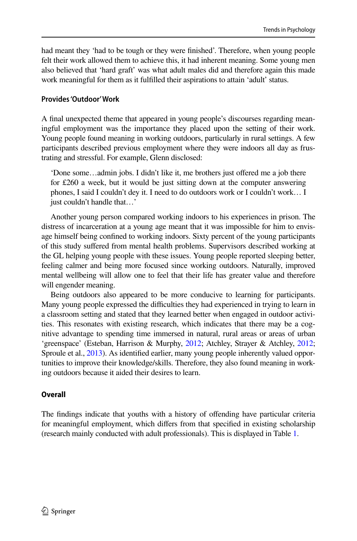had meant they 'had to be tough or they were fnished'. Therefore, when young people felt their work allowed them to achieve this, it had inherent meaning. Some young men also believed that 'hard graft' was what adult males did and therefore again this made work meaningful for them as it fulflled their aspirations to attain 'adult' status.

## **Provides 'Outdoor' Work**

A fnal unexpected theme that appeared in young people's discourses regarding meaningful employment was the importance they placed upon the setting of their work. Young people found meaning in working outdoors, particularly in rural settings. A few participants described previous employment where they were indoors all day as frustrating and stressful. For example, Glenn disclosed:

'Done some…admin jobs. I didn't like it, me brothers just ofered me a job there for £260 a week, but it would be just sitting down at the computer answering phones, I said I couldn't dey it. I need to do outdoors work or I couldn't work… I just couldn't handle that…'

Another young person compared working indoors to his experiences in prison. The distress of incarceration at a young age meant that it was impossible for him to envisage himself being confned to working indoors. Sixty percent of the young participants of this study sufered from mental health problems. Supervisors described working at the GL helping young people with these issues. Young people reported sleeping better, feeling calmer and being more focused since working outdoors. Naturally, improved mental wellbeing will allow one to feel that their life has greater value and therefore will engender meaning.

Being outdoors also appeared to be more conducive to learning for participants. Many young people expressed the difculties they had experienced in trying to learn in a classroom setting and stated that they learned better when engaged in outdoor activities. This resonates with existing research, which indicates that there may be a cognitive advantage to spending time immersed in natural, rural areas or areas of urban 'greenspace' (Esteban, Harrison & Murphy, [2012;](#page-22-18) Atchley, Strayer & Atchley, [2012;](#page-21-18) Sproule et al., [2013](#page-23-19)). As identifed earlier, many young people inherently valued opportunities to improve their knowledge/skills. Therefore, they also found meaning in working outdoors because it aided their desires to learn.

## **Overall**

The fndings indicate that youths with a history of ofending have particular criteria for meaningful employment, which difers from that specifed in existing scholarship (research mainly conducted with adult professionals). This is displayed in Table [1.](#page-16-0)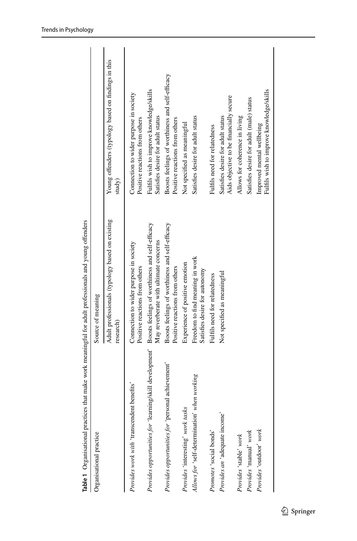<span id="page-16-0"></span>

| Table 1 Organisational practices that make work meaningful for adult professionals and young offenders |                                                                                           |                                                                                   |
|--------------------------------------------------------------------------------------------------------|-------------------------------------------------------------------------------------------|-----------------------------------------------------------------------------------|
| Organisational practice                                                                                | Source of meaning                                                                         |                                                                                   |
|                                                                                                        | Adult professionals (typology based on existing<br>research)                              | Young offenders (typology based on findings in this<br>study)                     |
| Provides work with 'transcendent benefits'                                                             | Connection to wider purpose in society<br>Positive reactions from others                  | Connection to wider purpose in society<br>Positive reactions from others          |
| Provides opportunities for 'learning/skill development'                                                | Boosts feelings of worthiness and self-efficacy<br>May reverberate with ultimate concerns | Fulfils wish to improve knowledge/skills<br>Satisfies desire for adult status     |
| Provides opportunities for 'personal achievement'                                                      | Boosts feelings of worthiness and self-efficacy<br>Positive reactions from others         | Boosts feelings of worthiness and self-efficacy<br>Positive reactions from others |
| Provides 'interesting' work tasks                                                                      | Experience of positive emotion                                                            | Not specified as meaningful                                                       |
| when working<br>Allows for 'self-determination'                                                        | Freedom to find meaning in work<br>Satisfies desire for autonomy                          | Satisfies desire for adult status                                                 |
| Promotes 'social bonds'                                                                                | Fulfils need for relatedness                                                              | Fulfils need for relatedness                                                      |
| Provides an 'adequate income'                                                                          | Not specified as meaningful                                                               | Aids objective to be financially secure<br>Satisfies desire for adult status      |
| Provides 'stable' work                                                                                 |                                                                                           | Allows for coherence in living                                                    |
| Provides 'manual' work                                                                                 |                                                                                           | Satisfies desire for adult (male) status                                          |
| Provides 'outdoor' work                                                                                |                                                                                           | Fulfils wish to improve knowledge/skills<br>Improved mental wellbeing             |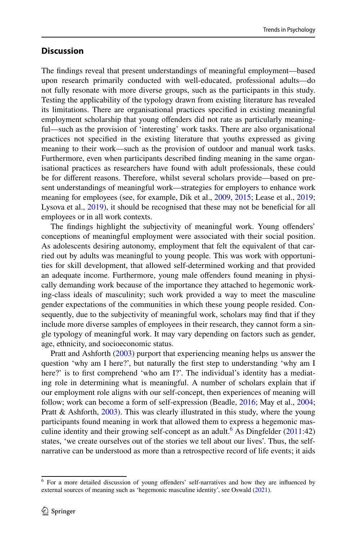## **Discussion**

The fndings reveal that present understandings of meaningful employment—based upon research primarily conducted with well-educated, professional adults—do not fully resonate with more diverse groups, such as the participants in this study. Testing the applicability of the typology drawn from existing literature has revealed its limitations. There are organisational practices specifed in existing meaningful employment scholarship that young ofenders did not rate as particularly meaningful—such as the provision of 'interesting' work tasks. There are also organisational practices not specifed in the existing literature that youths expressed as giving meaning to their work—such as the provision of outdoor and manual work tasks. Furthermore, even when participants described fnding meaning in the same organisational practices as researchers have found with adult professionals, these could be for diferent reasons. Therefore, whilst several scholars provide—based on present understandings of meaningful work—strategies for employers to enhance work meaning for employees (see, for example, Dik et al., [2009,](#page-22-19) [2015](#page-22-20); Lease et al., [2019;](#page-22-21) Lysova et al., [2019\)](#page-22-22), it should be recognised that these may not be beneficial for all employees or in all work contexts.

The fndings highlight the subjectivity of meaningful work. Young ofenders' conceptions of meaningful employment were associated with their social position. As adolescents desiring autonomy, employment that felt the equivalent of that carried out by adults was meaningful to young people. This was work with opportunities for skill development, that allowed self-determined working and that provided an adequate income. Furthermore, young male ofenders found meaning in physically demanding work because of the importance they attached to hegemonic working-class ideals of masculinity; such work provided a way to meet the masculine gender expectations of the communities in which these young people resided. Consequently, due to the subjectivity of meaningful work, scholars may fnd that if they include more diverse samples of employees in their research, they cannot form a single typology of meaningful work. It may vary depending on factors such as gender, age, ethnicity, and socioeconomic status.

Pratt and Ashforth [\(2003](#page-23-0)) purport that experiencing meaning helps us answer the question 'why am I here?', but naturally the frst step to understanding 'why am I here?' is to frst comprehend 'who am I?'. The individual's identity has a mediating role in determining what is meaningful. A number of scholars explain that if our employment role aligns with our self-concept, then experiences of meaning will follow; work can become a form of self-expression (Beadle, [2016;](#page-21-19) May et al., [2004;](#page-23-10) Pratt & Ashforth, [2003\)](#page-23-0). This was clearly illustrated in this study, where the young participants found meaning in work that allowed them to express a hegemonic mas-culine identity and their growing self-concept as an adult.<sup>[6](#page-17-0)</sup> As Dingfelder  $(2011:42)$  $(2011:42)$ states, 'we create ourselves out of the stories we tell about our lives'. Thus, the selfnarrative can be understood as more than a retrospective record of life events; it aids

<span id="page-17-0"></span><sup>&</sup>lt;sup>6</sup> For a more detailed discussion of young offenders' self-narratives and how they are influenced by external sources of meaning such as 'hegemonic masculine identity', see Oswald ([2021\)](#page-23-20).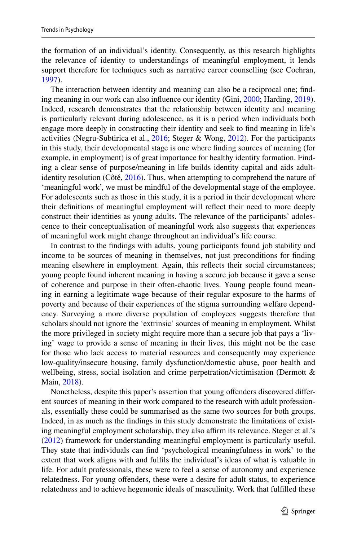the formation of an individual's identity. Consequently, as this research highlights the relevance of identity to understandings of meaningful employment, it lends support therefore for techniques such as narrative career counselling (see Cochran, [1997](#page-21-20)).

The interaction between identity and meaning can also be a reciprocal one; fnding meaning in our work can also infuence our identity (Gini, [2000;](#page-22-24) Harding, [2019\)](#page-22-25). Indeed, research demonstrates that the relationship between identity and meaning is particularly relevant during adolescence, as it is a period when individuals both engage more deeply in constructing their identity and seek to fnd meaning in life's activities (Negru-Subtirica et al., [2016;](#page-23-21) Steger & Wong, [2012\)](#page-23-22). For the participants in this study, their developmental stage is one where fnding sources of meaning (for example, in employment) is of great importance for healthy identity formation. Finding a clear sense of purpose/meaning in life builds identity capital and aids adultidentity resolution (Côté, [2016](#page-21-21)). Thus, when attempting to comprehend the nature of 'meaningful work', we must be mindful of the developmental stage of the employee. For adolescents such as those in this study, it is a period in their development where their defnitions of meaningful employment will refect their need to more deeply construct their identities as young adults. The relevance of the participants' adolescence to their conceptualisation of meaningful work also suggests that experiences of meaningful work might change throughout an individual's life course.

In contrast to the fndings with adults, young participants found job stability and income to be sources of meaning in themselves, not just preconditions for fnding meaning elsewhere in employment. Again, this refects their social circumstances; young people found inherent meaning in having a secure job because it gave a sense of coherence and purpose in their often-chaotic lives. Young people found meaning in earning a legitimate wage because of their regular exposure to the harms of poverty and because of their experiences of the stigma surrounding welfare dependency. Surveying a more diverse population of employees suggests therefore that scholars should not ignore the 'extrinsic' sources of meaning in employment. Whilst the more privileged in society might require more than a secure job that pays a 'living' wage to provide a sense of meaning in their lives, this might not be the case for those who lack access to material resources and consequently may experience low-quality/insecure housing, family dysfunction/domestic abuse, poor health and wellbeing, stress, social isolation and crime perpetration/victimisation (Dermott & Main, [2018](#page-21-22)).

Nonetheless, despite this paper's assertion that young ofenders discovered diferent sources of meaning in their work compared to the research with adult professionals, essentially these could be summarised as the same two sources for both groups. Indeed, in as much as the fndings in this study demonstrate the limitations of existing meaningful employment scholarship, they also affirm its relevance. Steger et al.'s [\(2012](#page-23-6)) framework for understanding meaningful employment is particularly useful. They state that individuals can fnd 'psychological meaningfulness in work' to the extent that work aligns with and fulfls the individual's ideas of what is valuable in life. For adult professionals, these were to feel a sense of autonomy and experience relatedness. For young ofenders, these were a desire for adult status, to experience relatedness and to achieve hegemonic ideals of masculinity. Work that fulflled these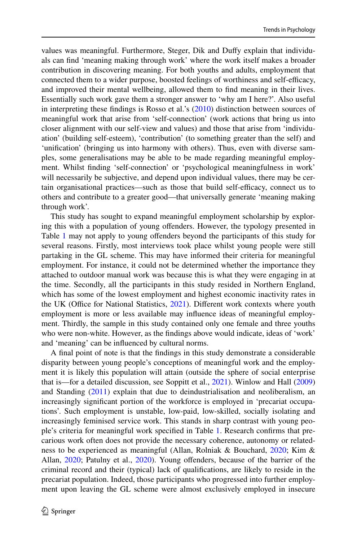values was meaningful. Furthermore, Steger, Dik and Dufy explain that individuals can fnd 'meaning making through work' where the work itself makes a broader contribution in discovering meaning. For both youths and adults, employment that connected them to a wider purpose, boosted feelings of worthiness and self-efficacy, and improved their mental wellbeing, allowed them to fnd meaning in their lives. Essentially such work gave them a stronger answer to 'why am I here?'. Also useful in interpreting these fndings is Rosso et al.'s ([2010\)](#page-23-5) distinction between sources of meaningful work that arise from 'self-connection' (work actions that bring us into closer alignment with our self-view and values) and those that arise from 'individuation' (building self-esteem), 'contribution' (to something greater than the self) and 'unifcation' (bringing us into harmony with others). Thus, even with diverse samples, some generalisations may be able to be made regarding meaningful employment. Whilst fnding 'self-connection' or 'psychological meaningfulness in work' will necessarily be subjective, and depend upon individual values, there may be certain organisational practices—such as those that build self-efficacy, connect us to others and contribute to a greater good—that universally generate 'meaning making through work'.

This study has sought to expand meaningful employment scholarship by exploring this with a population of young ofenders. However, the typology presented in Table [1](#page-16-0) may not apply to young ofenders beyond the participants of this study for several reasons. Firstly, most interviews took place whilst young people were still partaking in the GL scheme. This may have informed their criteria for meaningful employment. For instance, it could not be determined whether the importance they attached to outdoor manual work was because this is what they were engaging in at the time. Secondly, all the participants in this study resided in Northern England, which has some of the lowest employment and highest economic inactivity rates in the UK (Office for National Statistics, [2021\)](#page-23-23). Different work contexts where youth employment is more or less available may infuence ideas of meaningful employment. Thirdly, the sample in this study contained only one female and three youths who were non-white. However, as the fndings above would indicate, ideas of 'work' and 'meaning' can be infuenced by cultural norms.

A fnal point of note is that the fndings in this study demonstrate a considerable disparity between young people's conceptions of meaningful work and the employment it is likely this population will attain (outside the sphere of social enterprise that is—for a detailed discussion, see Soppitt et al., [2021\)](#page-23-24). Winlow and Hall [\(2009](#page-24-5)) and Standing [\(2011](#page-23-25)) explain that due to deindustrialisation and neoliberalism, an increasingly signifcant portion of the workforce is employed in 'precariat occupations'. Such employment is unstable, low-paid, low-skilled, socially isolating and increasingly feminised service work. This stands in sharp contrast with young people's criteria for meaningful work specifed in Table [1.](#page-16-0) Research confrms that precarious work often does not provide the necessary coherence, autonomy or relatedness to be experienced as meaningful (Allan, Rolniak & Bouchard, [2020;](#page-21-23) Kim & Allan, [2020](#page-22-26); Patulny et al., [2020\)](#page-23-26). Young offenders, because of the barrier of the criminal record and their (typical) lack of qualifcations, are likely to reside in the precariat population. Indeed, those participants who progressed into further employment upon leaving the GL scheme were almost exclusively employed in insecure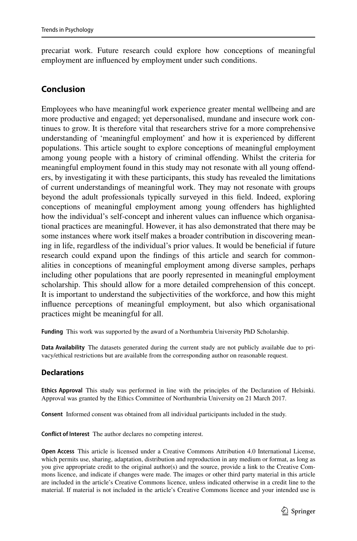precariat work. Future research could explore how conceptions of meaningful employment are infuenced by employment under such conditions.

## **Conclusion**

Employees who have meaningful work experience greater mental wellbeing and are more productive and engaged; yet depersonalised, mundane and insecure work continues to grow. It is therefore vital that researchers strive for a more comprehensive understanding of 'meaningful employment' and how it is experienced by diferent populations. This article sought to explore conceptions of meaningful employment among young people with a history of criminal ofending. Whilst the criteria for meaningful employment found in this study may not resonate with all young ofenders, by investigating it with these participants, this study has revealed the limitations of current understandings of meaningful work. They may not resonate with groups beyond the adult professionals typically surveyed in this feld. Indeed, exploring conceptions of meaningful employment among young ofenders has highlighted how the individual's self-concept and inherent values can infuence which organisational practices are meaningful. However, it has also demonstrated that there may be some instances where work itself makes a broader contribution in discovering meaning in life, regardless of the individual's prior values. It would be benefcial if future research could expand upon the fndings of this article and search for commonalities in conceptions of meaningful employment among diverse samples, perhaps including other populations that are poorly represented in meaningful employment scholarship. This should allow for a more detailed comprehension of this concept. It is important to understand the subjectivities of the workforce, and how this might infuence perceptions of meaningful employment, but also which organisational practices might be meaningful for all.

**Funding** This work was supported by the award of a Northumbria University PhD Scholarship.

**Data Availability** The datasets generated during the current study are not publicly available due to privacy/ethical restrictions but are available from the corresponding author on reasonable request.

#### **Declarations**

**Ethics Approval** This study was performed in line with the principles of the Declaration of Helsinki. Approval was granted by the Ethics Committee of Northumbria University on 21 March 2017.

**Consent** Informed consent was obtained from all individual participants included in the study.

**Confict of Interest** The author declares no competing interest.

**Open Access** This article is licensed under a Creative Commons Attribution 4.0 International License, which permits use, sharing, adaptation, distribution and reproduction in any medium or format, as long as you give appropriate credit to the original author(s) and the source, provide a link to the Creative Commons licence, and indicate if changes were made. The images or other third party material in this article are included in the article's Creative Commons licence, unless indicated otherwise in a credit line to the material. If material is not included in the article's Creative Commons licence and your intended use is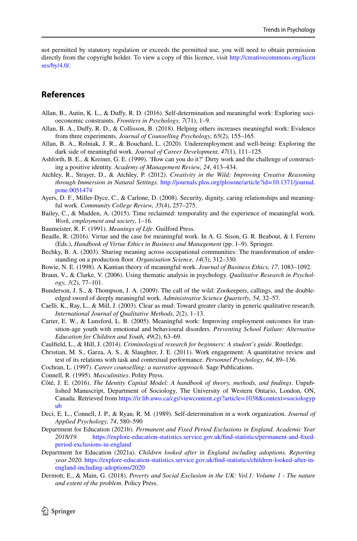not permitted by statutory regulation or exceeds the permitted use, you will need to obtain permission directly from the copyright holder. To view a copy of this licence, visit [http://creativecommons.org/licen](http://creativecommons.org/licenses/by/4.0/) [ses/by/4.0/](http://creativecommons.org/licenses/by/4.0/).

## **References**

- <span id="page-21-3"></span>Allan, B., Autin, K. L., & Dufy, R. D. (2016). Self-determination and meaningful work: Exploring socioeconomic constraints. *Frontiers in Psychology, 7*(71), 1–9.
- <span id="page-21-2"></span>Allan, B. A., Dufy, R. D., & Collisson, B. (2018). Helping others increases meaningful work: Evidence from three experiments. *Journal of Counselling Psychology, 65*(2), 155–165.
- <span id="page-21-23"></span>Allan, B. A., Rolniak, J. R., & Bouchard, L. (2020). Underemployment and well-being: Exploring the dark side of meaningful work. *Journal of Career Development, 47*(1), 111–125.
- <span id="page-21-7"></span>Ashforth, B. E., & Kreiner, G. E. (1999). 'How can you do it?' Dirty work and the challenge of constructing a positive identity. *Academy of Management Review, 24*, 413–434.
- <span id="page-21-18"></span>Atchley, R., Strayer, D., & Atchley, P. (2012). *Creativity in the Wild: Improving Creative Reasoning through Immersion in Natural Settings.* [http://journals.plos.org/plosone/article?id=10.1371/journal.](http://journals.plos.org/plosone/article?id=10.1371/journal.pone.0051474) [pone.0051474](http://journals.plos.org/plosone/article?id=10.1371/journal.pone.0051474)
- <span id="page-21-14"></span>Ayers, D. F., Miller-Dyce, C., & Carlone, D. (2008). Security, dignity, caring relationships and meaningful work. *Community College Review, 35*(4), 257–275.
- <span id="page-21-1"></span>Bailey, C., & Madden, A. (2015). Time reclaimed: temporality and the experience of meaningful work. *Work, employment and society*, 1–16.
- <span id="page-21-15"></span>Baumeister, R. F. (1991). *Meanings of Life*. Guilford Press.
- <span id="page-21-19"></span>Beadle, R. (2016). Virtue and the case for meaningful work. In A. G. Sison, G. R. Beabout, & I. Ferrero (Eds.), *Handbook of Virtue Ethics in Business and Management* (pp. 1–9). Springer.
- <span id="page-21-8"></span>Bechky, B. A. (2003). Sharing meaning across occupational communities: The transformation of understanding on a production foor. *Organisation Science, 14*(3), 312–330.
- <span id="page-21-4"></span>Bowie, N. E. (1998). A Kantian theory of meaningful work. *Journal of Business Ethics, 17*, 1083–1092.
- <span id="page-21-12"></span>Braun, V., & Clarke, V. (2006). Using thematic analysis in psychology. *Qualitative Research in Psychology, 3*(2), 77–101.
- <span id="page-21-16"></span>Bunderson, J. S., & Thompson, J. A. (2009). The call of the wild: Zookeepers, callings, and the doubleedged sword of deeply meaningful work. *Administrative Science Quarterly, 54*, 32–57.
- <span id="page-21-11"></span>Caelli, K., Ray, L., & Mill, J. (2003). Clear as mud: Toward greater clarity in generic qualitative research. *International Journal of Qualitative Methods, 2*(2), 1–13.
- <span id="page-21-5"></span>Carter, E. W., & Lunsford, L. B. (2005). Meaningful work: Improving employment outcomes for transition-age youth with emotional and behavioural disorders. *Preventing School Failure: Alternative Education for Children and Youth, 49*(2), 63–69.
- <span id="page-21-13"></span>Caulfeld, L., & Hill, J. (2014). *Criminological research for beginners: A student's guide*. Routledge.
- <span id="page-21-0"></span>Christian, M. S., Garza, A. S., & Slaughter, J. E. (2011). Work engagement: A quantitative review and test of its relations with task and contextual performance. *Personnel Psychology, 64*, 89–136.
- <span id="page-21-20"></span>Cochran, L. (1997). *Career counselling: a narrative approach*. Sage Publications.
- <span id="page-21-17"></span>Connell, R. (1995). *Masculinities*. Polity Press.
- <span id="page-21-21"></span>Côté, J. E. (2016). *The Identity Capital Model: A handbook of theory, methods, and fndings*. Unpublished Manuscript, Department of Sociology, The University of Western Ontario, London, ON, Canada. Retrieved from [https://ir.lib.uwo.ca/cgi/viewcontent.cgi?article=1038&context=sociologyp](https://ir.lib.uwo.ca/cgi/viewcontent.cgi?article=1038&context=sociologypub) [ub](https://ir.lib.uwo.ca/cgi/viewcontent.cgi?article=1038&context=sociologypub)
- <span id="page-21-6"></span>Deci, E. L., Connell, J. P., & Ryan, R. M. (1989). Self-determination in a work organization. *Journal of Applied Psychology, 74*, 580–590
- <span id="page-21-10"></span>Department for Education (2021b). *Permanent and Fixed Period Exclusions in England. Academic Year 2018/19.* [https://explore-education-statistics.service.gov.uk/fnd-statistics/permanent-and-fxed](https://explore-education-statistics.service.gov.uk/find-statistics/permanent-and-fixed-period-exclusions-in-england)[period-exclusions-in-england](https://explore-education-statistics.service.gov.uk/find-statistics/permanent-and-fixed-period-exclusions-in-england)
- <span id="page-21-9"></span>Department for Education (2021a). *Children looked after in England including adoptions. Reporting year 2020.* [https://explore-education-statistics.service.gov.uk/fnd-statistics/children-looked-after-in](https://explore-education-statistics.service.gov.uk/find-statistics/children-looked-after-in-england-including-adoptions/2020)[england-including-adoptions/2020](https://explore-education-statistics.service.gov.uk/find-statistics/children-looked-after-in-england-including-adoptions/2020)
- <span id="page-21-22"></span>Dermott, E., & Main, G. (2018). *Poverty and Social Exclusion in the UK: Vol.1: Volume 1 - The nature and extent of the problem*. Policy Press.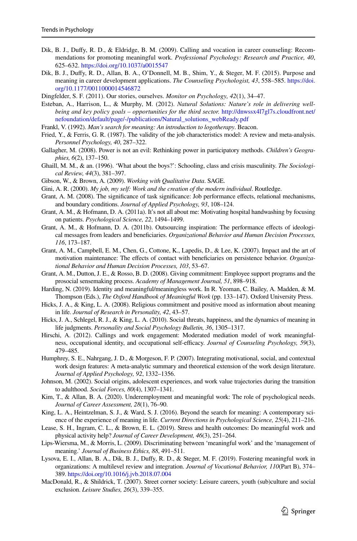- <span id="page-22-19"></span>Dik, B. J., Dufy, R. D., & Eldridge, B. M. (2009). Calling and vocation in career counseling: Recommendations for promoting meaningful work. *Professional Psychology: Research and Practice, 40*, 625–632.<https://doi.org/10.1037/a0015547>
- <span id="page-22-20"></span>Dik, B. J., Dufy, R. D., Allan, B. A., O'Donnell, M. B., Shim, Y., & Steger, M. F. (2015). Purpose and meaning in career development applications. *The Counseling Psychologist, 43*, 558–585. [https://doi.](https://doi.org/10.1177/0011000014546872) [org/10.1177/0011000014546872](https://doi.org/10.1177/0011000014546872)
- <span id="page-22-23"></span>Dingfelder, S. F. (2011). Our stories, ourselves. *Monitor on Psychology, 42*(1), 34–47.
- <span id="page-22-18"></span>Esteban, A., Harrison, L., & Murphy, M. (2012). *Natural Solutions: Nature's role in delivering wellbeing and key policy goals – opportunities for the third sector.* [http://dnwssx4l7gl7s.cloudfront.net/](http://dnwssx4l7gl7s.cloudfront.net/nefoundation/default/page/-/publications/Natural_solutions_webReady.pdf) [nefoundation/default/page/-/publications/Natural\\_solutions\\_webReady.pdf](http://dnwssx4l7gl7s.cloudfront.net/nefoundation/default/page/-/publications/Natural_solutions_webReady.pdf)
- <span id="page-22-1"></span>Frankl, V. (1992). *Man's search for meaning: An introduction to logotherapy*. Beacon.
- <span id="page-22-8"></span>Fried, Y., & Ferris, G. R. (1987). The validity of the job characteristics model: A review and meta-analysis. *Personnel Psychology, 40*, 287–322.
- <span id="page-22-13"></span>Gallagher, M. (2008). Power is not an evil: Rethinking power in participatory methods. *Children's Geographies, 6*(2), 137–150.
- <span id="page-22-17"></span>Ghaill, M. M., & an. (1996). 'What about the boys?': Schooling, class and crisis masculinity. *The Sociological Review, 44*(3), 381–397.
- <span id="page-22-14"></span>Gibson, W., & Brown, A. (2009). *Working with Qualitative Data*. SAGE.
- <span id="page-22-24"></span>Gini, A. R. (2000). *My job, my self: Work and the creation of the modern individual*. Routledge.
- <span id="page-22-5"></span>Grant, A. M. (2008). The significance of task significance: Job performance effects, relational mechanisms, and boundary conditions. *Journal of Applied Psychology, 93*, 108–124.
- <span id="page-22-6"></span>Grant, A. M., & Hofmann, D. A. (2011a). It's not all about me: Motivating hospital handwashing by focusing on patients. *Psychological Science, 22*, 1494–1499.
- <span id="page-22-7"></span>Grant, A. M., & Hofmann, D. A. (2011b). Outsourcing inspiration: The performance efects of ideological messages from leaders and benefciaries. *Organizational Behavior and Human Decision Processes, 116*, 173–187.
- <span id="page-22-4"></span>Grant, A. M., Campbell, E. M., Chen, G., Cottone, K., Lapedis, D., & Lee, K. (2007). Impact and the art of motivation maintenance: The efects of contact with benefciaries on persistence behavior. *Organizational Behavior and Human Decision Processes, 103*, 53–67.
- <span id="page-22-11"></span>Grant, A. M., Dutton, J. E., & Rosso, B. D. (2008). Giving commitment: Employee support programs and the prosocial sensemaking process. *Academy of Management Journal, 51*, 898–918.
- <span id="page-22-25"></span>Harding, N. (2019). Identity and meaningful/meaningless work. In R. Yeoman, C. Bailey, A. Madden, & M. Thompson (Eds.), *The Oxford Handbook of Meaningful Work* (pp. 133–147). Oxford University Press.
- <span id="page-22-9"></span>Hicks, J. A., & King, L. A. (2008). Religious commitment and positive mood as information about meaning in life. *Journal of Research in Personality, 42*, 43–57.
- <span id="page-22-10"></span>Hicks, J. A., Schlegel, R. J., & King, L. A. (2010). Social threats, happiness, and the dynamics of meaning in life judgments. *Personality and Social Psychology Bulletin, 36*, 1305–1317.
- <span id="page-22-12"></span>Hirschi, A. (2012). Callings and work engagement: Moderated mediation model of work meaningfulness, occupational identity, and occupational self-efficacy. *Journal of Counseling Psychology,* 59(3), 479–485.
- <span id="page-22-2"></span>Humphrey, S. E., Nahrgang, J. D., & Morgeson, F. P. (2007). Integrating motivational, social, and contextual work design features: A meta-analytic summary and theoretical extension of the work design literature. *Journal of Applied Psychology, 92*, 1332–1356.
- <span id="page-22-15"></span>Johnson, M. (2002). Social origins, adolescent experiences, and work value trajectories during the transition to adulthood. *Social Forces, 80*(4), 1307–1341.
- <span id="page-22-26"></span>Kim, T., & Allan, B. A. (2020). Underemployment and meaningful work: The role of psychological needs. *Journal of Career Assessment, 28*(1), 76–90.
- <span id="page-22-0"></span>King, L. A., Heintzelman, S. J., & Ward, S. J. (2016). Beyond the search for meaning: A contemporary science of the experience of meaning in life. *Current Directions in Psychological Science, 25*(4), 211–216.
- <span id="page-22-21"></span>Lease, S. H., Ingram, C. L., & Brown, E. L. (2019). Stress and health outcomes: Do meaningful work and physical activity help? *Journal of Career Development, 46*(3), 251–264.
- <span id="page-22-3"></span>Lips-Wiersma, M., & Morris, L. (2009). Discriminating between 'meaningful work' and the 'management of meaning.' *Journal of Business Ethics, 88*, 491–511.
- <span id="page-22-22"></span>Lysova, E. I., Allan, B. A., Dik, B. J., Dufy, R. D., & Steger, M. F. (2019). Fostering meaningful work in organizations: A multilevel review and integration. *Journal of Vocational Behavior, 110*(Part B), 374– 389.<https://doi.org/10.1016/j.jvb.2018.07.004>
- <span id="page-22-16"></span>MacDonald, R., & Shildrick, T. (2007). Street corner society: Leisure careers, youth (sub)culture and social exclusion. *Leisure Studies, 26*(3), 339–355.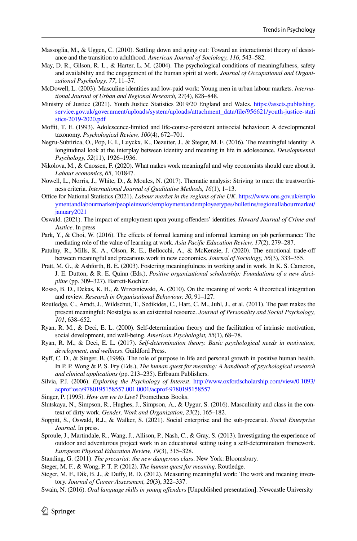- <span id="page-23-16"></span>Massoglia, M., & Uggen, C. (2010). Settling down and aging out: Toward an interactionist theory of desistance and the transition to adulthood. *American Journal of Sociology, 116*, 543–582.
- <span id="page-23-10"></span>May, D. R., Gilson, R. L., & Harter, L. M. (2004). The psychological conditions of meaningfulness, safety and availability and the engagement of the human spirit at work. *Journal of Occupational and Organizational Psychology, 77*, 11–37.
- <span id="page-23-17"></span>McDowell, L. (2003). Masculine identities and low-paid work: Young men in urban labour markets. *International Journal of Urban and Regional Research, 27*(4), 828–848.
- <span id="page-23-12"></span>Ministry of Justice (2021). Youth Justice Statistics 2019/20 England and Wales. [https://assets.publishing.](https://assets.publishing.service.gov.uk/government/uploads/system/uploads/attachment_data/file/956621/youth-justice-statistics-2019-2020.pdf) service.gov.uk/government/uploads/system/uploads/attachment\_data/file/956621/youth-justice-stati [stics-2019-2020.pdf](https://assets.publishing.service.gov.uk/government/uploads/system/uploads/attachment_data/file/956621/youth-justice-statistics-2019-2020.pdf)
- <span id="page-23-15"></span>Moffit, T. E. (1993). Adolescence-limited and life-course-persistent antisocial behaviour: A developmental taxonomy. *Psychological Review, 100*(4), 672–701.
- <span id="page-23-21"></span>Negru-Subtirica, O., Pop, E. I., Luyckx, K., Dezutter, J., & Steger, M. F. (2016). The meaningful identity: A longitudinal look at the interplay between identity and meaning in life in adolescence. *Developmental Psychology, 52*(11), 1926–1936.
- <span id="page-23-3"></span>Nikolova, M., & Cnossen, F. (2020). What makes work meaningful and why economists should care about it. *Labour economics, 65*, 101847.
- <span id="page-23-14"></span>Nowell, L., Norris, J., White, D., & Moules, N. (2017). Thematic analysis: Striving to meet the trustworthiness criteria. *International Journal of Qualitative Methods, 16*(1), 1–13.
- <span id="page-23-23"></span>Office for National Statistics (2021). *Labour market in the regions of the UK*. [https://www.ons.gov.uk/emplo](https://www.ons.gov.uk/employmentandlabourmarket/peopleinwork/employmentandemployeetypes/bulletins/regionallabourmarket/january2021) [ymentandlabourmarket/peopleinwork/employmentandemployeetypes/bulletins/regionallabourmarket/](https://www.ons.gov.uk/employmentandlabourmarket/peopleinwork/employmentandemployeetypes/bulletins/regionallabourmarket/january2021) [january2021](https://www.ons.gov.uk/employmentandlabourmarket/peopleinwork/employmentandemployeetypes/bulletins/regionallabourmarket/january2021)
- <span id="page-23-20"></span>Oswald. (2021). The impact of employment upon young ofenders' identities. *Howard Journal of Crime and Justice*. In press
- <span id="page-23-7"></span>Park, Y., & Choi, W. (2016). The effects of formal learning and informal learning on job performance: The mediating role of the value of learning at work. *Asia Pacifc Education Review, 17*(2), 279–287.
- <span id="page-23-26"></span>Patulny, R., Mills, K. A., Olson, R. E., Bellocchi, A., & McKenzie, J. (2020). The emotional trade-of between meaningful and precarious work in new economies. *Journal of Sociology, 56*(3), 333–355.
- <span id="page-23-0"></span>Pratt, M. G., & Ashforth, B. E. (2003). Fostering meaningfulness in working and in work. In K. S. Cameron, J. E. Dutton, & R. E. Quinn (Eds.), *Positive organizational scholarship: Foundations of a new discipline* (pp. 309–327). Barrett-Koehler.
- <span id="page-23-5"></span>Rosso, B. D., Dekas, K. H., & Wrzesniewski, A. (2010). On the meaning of work: A theoretical integration and review. *Research in Organisational Behaviour, 30*, 91–127.
- <span id="page-23-1"></span>Routledge, C., Arndt, J., Wildschut, T., Sedikides, C., Hart, C. M., Juhl, J., et al. (2011). The past makes the present meaningful: Nostalgia as an existential resource. *Journal of Personality and Social Psychology, 101*, 638–652.
- <span id="page-23-8"></span>Ryan, R. M., & Deci, E. L. (2000). Self-determination theory and the facilitation of intrinsic motivation, social development, and well-being. *American Psychologist, 55*(1), 68–78.
- <span id="page-23-9"></span>Ryan, R. M., & Deci, E. L. (2017). *Self-determination theory. Basic psychological needs in motivation, development, and wellness*. Guildford Press.
- <span id="page-23-2"></span>Ryf, C. D., & Singer, B. (1998). The role of purpose in life and personal growth in positive human health. In P. P. Wong & P. S. Fry (Eds.), *The human quest for meaning: A handbook of psychological research and clinical applications* (pp. 213–235). Erlbaum Publishers.
- <span id="page-23-11"></span>Silvia, P.J. (2006). *Exploring the Psychology of Interest*. [http://www.oxfordscholarship.com/view/0.1093/](http://www.oxfordscholarship.com/view/0.1093/acprof:oso/9780195158557.001.0001/acprof-9780195158557) [acprof:oso/9780195158557.001.0001/acprof-9780195158557](http://www.oxfordscholarship.com/view/0.1093/acprof:oso/9780195158557.001.0001/acprof-9780195158557)
- <span id="page-23-4"></span>Singer, P. (1995). *How are we to Live?* Prometheus Books.
- <span id="page-23-18"></span>Slutskaya, N., Simpson, R., Hughes, J., Simpson, A., & Uygur, S. (2016). Masculinity and class in the context of dirty work. *Gender, Work and Organization, 23*(2), 165–182.
- <span id="page-23-24"></span>Soppitt, S., Oswald, R.J., & Walker, S. (2021). Social enterprise and the sub-precariat. *Social Enterprise Journal.* In press.
- <span id="page-23-19"></span>Sproule, J., Martindale, R., Wang, J., Allison, P., Nash, C., & Gray, S. (2013). Investigating the experience of outdoor and adventurous project work in an educational setting using a self-determination framework. *European Physical Education Review, 19*(3), 315–328.
- <span id="page-23-25"></span>Standing, G. (2011). *The precariat: the new dangerous class*. New York: Bloomsbury.
- <span id="page-23-22"></span>Steger, M. F., & Wong, P. T. P. (2012). *The human quest for meaning*. Routledge.
- <span id="page-23-6"></span>Steger, M. F., Dik, B. J., & Duffy, R. D. (2012). Measuring meaningful work: The work and meaning inventory. *Journal of Career Assessment, 20*(3), 322–337.
- <span id="page-23-13"></span>Swain, N. (2016). *Oral language skills in young ofenders* [Unpublished presentation]. Newcastle University